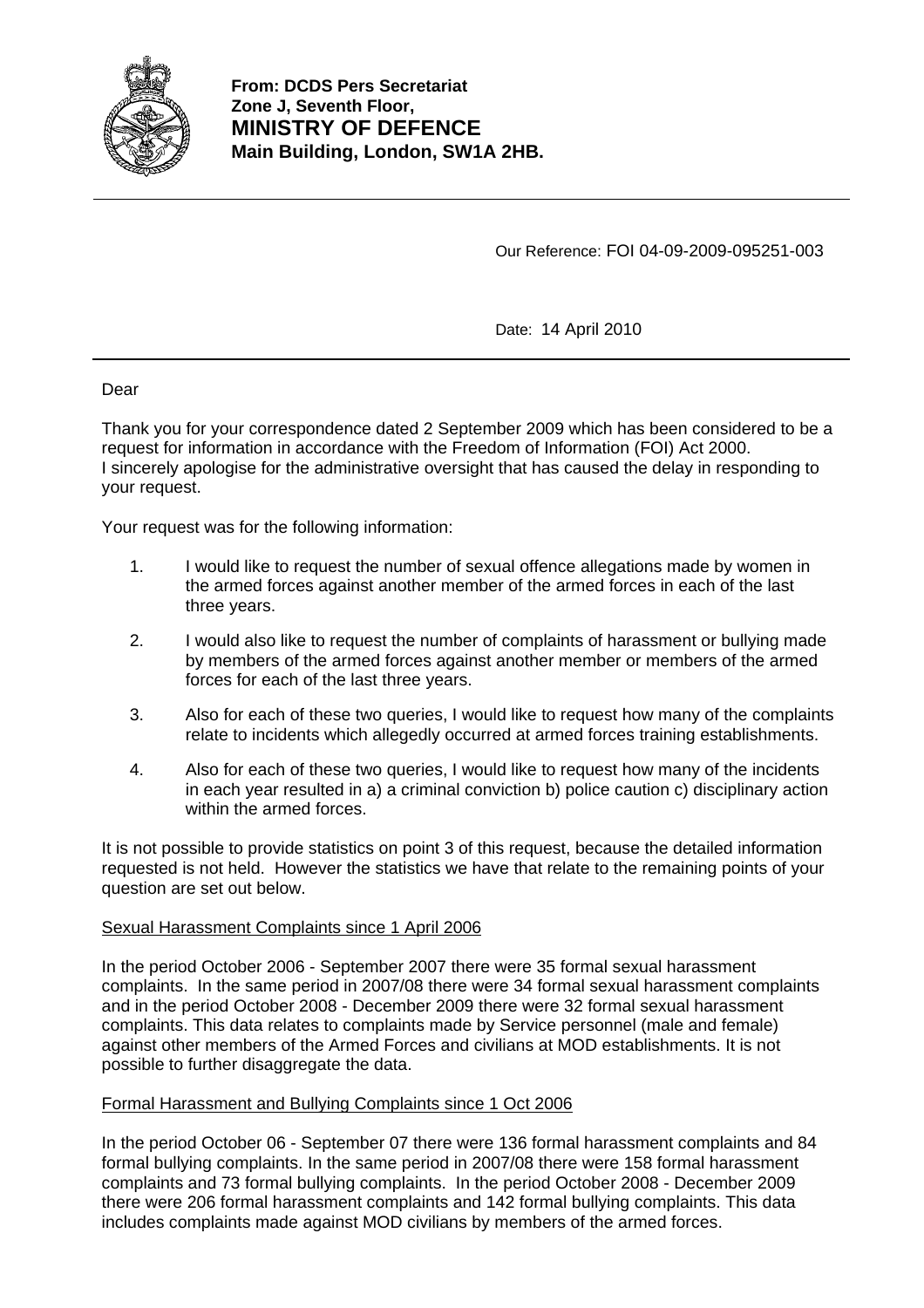

Our Reference: FOI 04-09-2009-095251-003

Date: 14 April 2010

Dear

Thank you for your correspondence dated 2 September 2009 which has been considered to be a request for information in accordance with the Freedom of Information (FOI) Act 2000. I sincerely apologise for the administrative oversight that has caused the delay in responding to your request.

Your request was for the following information:

- 1. I would like to request the number of sexual offence allegations made by women in the armed forces against another member of the armed forces in each of the last three years.
- 2. I would also like to request the number of complaints of harassment or bullying made by members of the armed forces against another member or members of the armed forces for each of the last three years.
- 3. Also for each of these two queries, I would like to request how many of the complaints relate to incidents which allegedly occurred at armed forces training establishments.
- 4. Also for each of these two queries, I would like to request how many of the incidents in each year resulted in a) a criminal conviction b) police caution c) disciplinary action within the armed forces.

It is not possible to provide statistics on point 3 of this request, because the detailed information requested is not held. However the statistics we have that relate to the remaining points of your question are set out below.

# Sexual Harassment Complaints since 1 April 2006

In the period October 2006 - September 2007 there were 35 formal sexual harassment complaints. In the same period in 2007/08 there were 34 formal sexual harassment complaints and in the period October 2008 - December 2009 there were 32 formal sexual harassment complaints. This data relates to complaints made by Service personnel (male and female) against other members of the Armed Forces and civilians at MOD establishments. It is not possible to further disaggregate the data.

# Formal Harassment and Bullying Complaints since 1 Oct 2006

In the period October 06 - September 07 there were 136 formal harassment complaints and 84 formal bullying complaints. In the same period in 2007/08 there were 158 formal harassment complaints and 73 formal bullying complaints. In the period October 2008 - December 2009 there were 206 formal harassment complaints and 142 formal bullying complaints. This data includes complaints made against MOD civilians by members of the armed forces.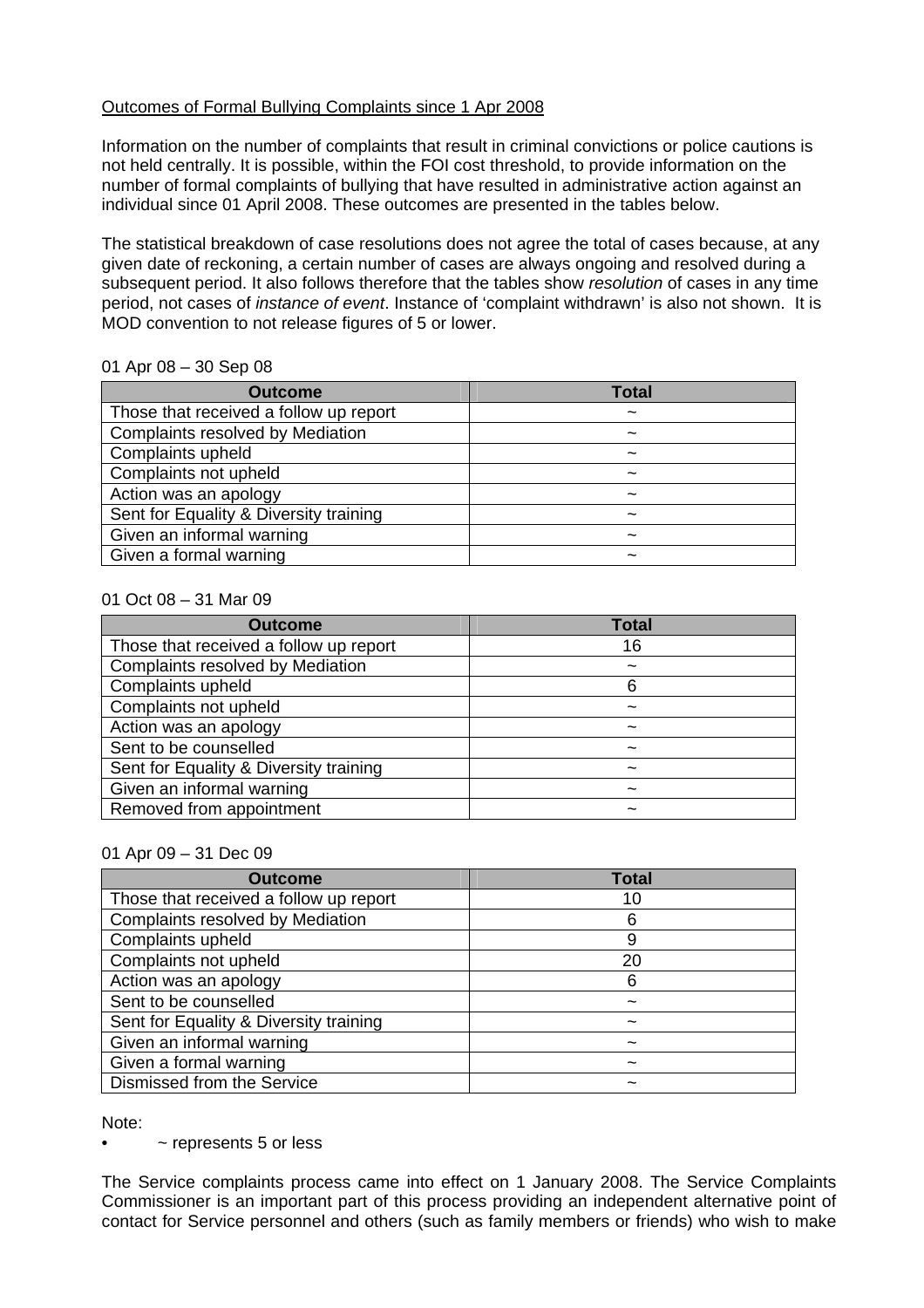# Outcomes of Formal Bullying Complaints since 1 Apr 2008

Information on the number of complaints that result in criminal convictions or police cautions is not held centrally. It is possible, within the FOI cost threshold, to provide information on the number of formal complaints of bullying that have resulted in administrative action against an individual since 01 April 2008. These outcomes are presented in the tables below.

The statistical breakdown of case resolutions does not agree the total of cases because, at any given date of reckoning, a certain number of cases are always ongoing and resolved during a subsequent period. It also follows therefore that the tables show *resolution* of cases in any time period, not cases of *instance of event*. Instance of 'complaint withdrawn' is also not shown. It is MOD convention to not release figures of 5 or lower.

# 01 Apr 08 – 30 Sep 08

| <b>Outcome</b>                          | <b>Total</b>              |
|-----------------------------------------|---------------------------|
| Those that received a follow up report  | $\tilde{\phantom{a}}$     |
| <b>Complaints resolved by Mediation</b> | $\widetilde{\phantom{m}}$ |
| Complaints upheld                       | $\tilde{\phantom{a}}$     |
| Complaints not upheld                   | $\tilde{\phantom{a}}$     |
| Action was an apology                   | $\tilde{\phantom{a}}$     |
| Sent for Equality & Diversity training  | ~                         |
| Given an informal warning               |                           |
| Given a formal warning                  |                           |

#### 01 Oct 08 – 31 Mar 09

| <b>Outcome</b>                          | Total |
|-----------------------------------------|-------|
| Those that received a follow up report  | 16    |
| <b>Complaints resolved by Mediation</b> |       |
| Complaints upheld                       | ิค    |
| Complaints not upheld                   | ~     |
| Action was an apology                   | ~     |
| Sent to be counselled                   |       |
| Sent for Equality & Diversity training  | ~     |
| Given an informal warning               | ~     |
| Removed from appointment                |       |

#### 01 Apr 09 – 31 Dec 09

| <b>Outcome</b>                          | Total |
|-----------------------------------------|-------|
| Those that received a follow up report  |       |
| <b>Complaints resolved by Mediation</b> |       |
| Complaints upheld                       | 9     |
| Complaints not upheld                   | 20    |
| Action was an apology                   | 6     |
| Sent to be counselled                   |       |
| Sent for Equality & Diversity training  |       |
| Given an informal warning               |       |
| Given a formal warning                  |       |
| Dismissed from the Service              |       |

Note:

• ~ represents 5 or less

The Service complaints process came into effect on 1 January 2008. The Service Complaints Commissioner is an important part of this process providing an independent alternative point of contact for Service personnel and others (such as family members or friends) who wish to make